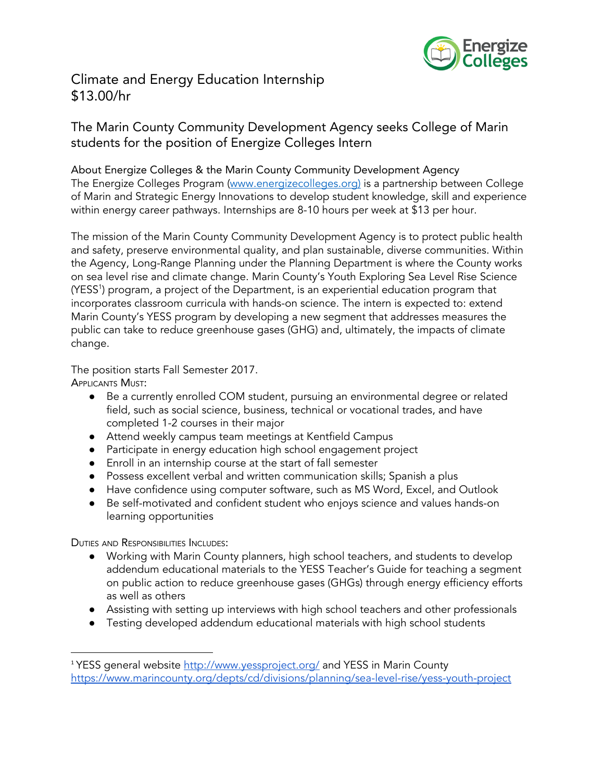

## Climate and Energy Education Internship \$13.00/hr

## The Marin County Community Development Agency seeks College of Marin students for the position of Energize Colleges Intern

About Energize Colleges & the Marin County Community Development Agency The Energize Colleges Program (www.energizecolleges.org) is a partnership between College of Marin and Strategic Energy Innovations to develop student knowledge, skill and experience within energy career pathways. Internships are 8-10 hours per week at \$13 per hour.

The mission of the Marin County Community Development Agency is to protect public health and safety, preserve environmental quality, and plan sustainable, diverse communities. Within the Agency, Long-Range Planning under the Planning Department is where the County works on sea level rise and climate change. Marin County's Youth Exploring Sea Level Rise Science (YESS<sup>1</sup>) program, a project of the Department, is an experiential education program that incorporates classroom curricula with hands-on science. The intern is expected to: extend Marin County's YESS program by developing a new segment that addresses measures the public can take to reduce greenhouse gases (GHG) and, ultimately, the impacts of climate change.

The position starts Fall Semester 2017.

APPLICANTS MUST:

- Be a currently enrolled COM student, pursuing an environmental degree or related field, such as social science, business, technical or vocational trades, and have completed 1-2 courses in their major
- Attend weekly campus team meetings at Kentfield Campus
- Participate in energy education high school engagement project
- Enroll in an internship course at the start of fall semester
- Possess excellent verbal and written communication skills; Spanish a plus
- Have confidence using computer software, such as MS Word, Excel, and Outlook
- Be self-motivated and confident student who enjoys science and values hands-on learning opportunities

DUTIES AND RESPONSIBILITIES INCLUDES:

- Working with Marin County planners, high school teachers, and students to develop addendum educational materials to the YESS Teacher's Guide for teaching a segment on public action to reduce greenhouse gases (GHGs) through energy efficiency efforts as well as others
- Assisting with setting up interviews with high school teachers and other professionals
- Testing developed addendum educational materials with high school students

<sup>&</sup>lt;sup>1</sup> YESS general website <http://www.yessproject.org/> and YESS in Marin County <https://www.marincounty.org/depts/cd/divisions/planning/sea-level-rise/yess-youth-project>